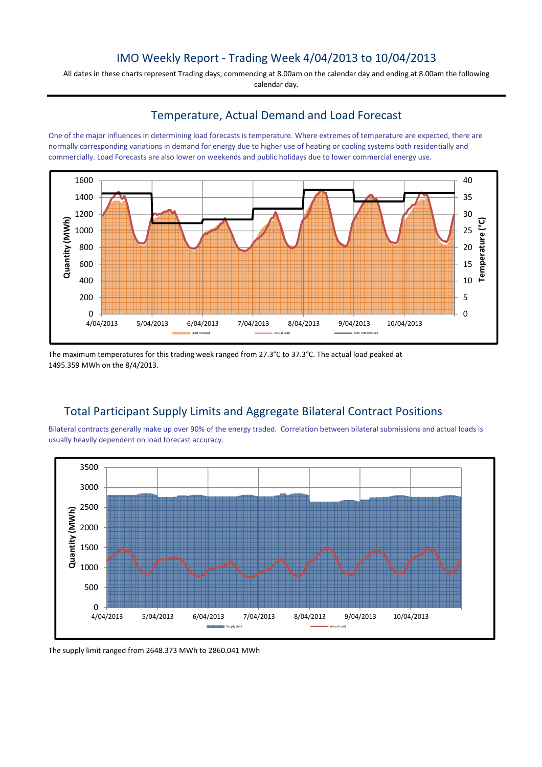## IMO Weekly Report - Trading Week 4/04/2013 to 10/04/2013

All dates in these charts represent Trading days, commencing at 8.00am on the calendar day and ending at 8.00am the following calendar day.

#### Temperature, Actual Demand and Load Forecast

One of the major influences in determining load forecasts is temperature. Where extremes of temperature are expected, there are normally corresponding variations in demand for energy due to higher use of heating or cooling systems both residentially and commercially. Load Forecasts are also lower on weekends and public holidays due to lower commercial energy use.



The maximum temperatures for this trading week ranged from 27.3°C to 37.3°C. The actual load peaked at 1495.359 MWh on the 8/4/2013.

# Total Participant Supply Limits and Aggregate Bilateral Contract Positions

Bilateral contracts generally make up over 90% of the energy traded. Correlation between bilateral submissions and actual loads is usually heavily dependent on load forecast accuracy.



The supply limit ranged from 2648.373 MWh to 2860.041 MWh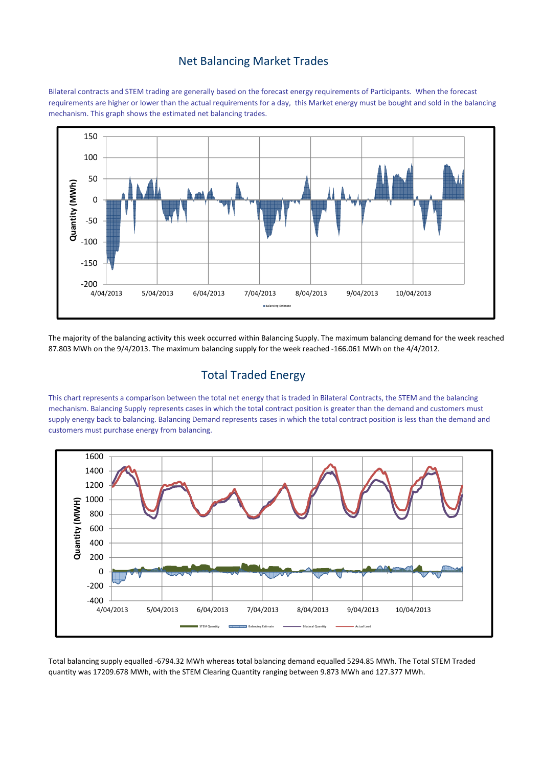## Net Balancing Market Trades

Bilateral contracts and STEM trading are generally based on the forecast energy requirements of Participants. When the forecast requirements are higher or lower than the actual requirements for a day, this Market energy must be bought and sold in the balancing mechanism. This graph shows the estimated net balancing trades.



The majority of the balancing activity this week occurred within Balancing Supply. The maximum balancing demand for the week reached 87.803 MWh on the 9/4/2013. The maximum balancing supply for the week reached -166.061 MWh on the 4/4/2012.

## Total Traded Energy

This chart represents a comparison between the total net energy that is traded in Bilateral Contracts, the STEM and the balancing mechanism. Balancing Supply represents cases in which the total contract position is greater than the demand and customers must supply energy back to balancing. Balancing Demand represents cases in which the total contract position is less than the demand and customers must purchase energy from balancing.



Total balancing supply equalled -6794.32 MWh whereas total balancing demand equalled 5294.85 MWh. The Total STEM Traded quantity was 17209.678 MWh, with the STEM Clearing Quantity ranging between 9.873 MWh and 127.377 MWh.